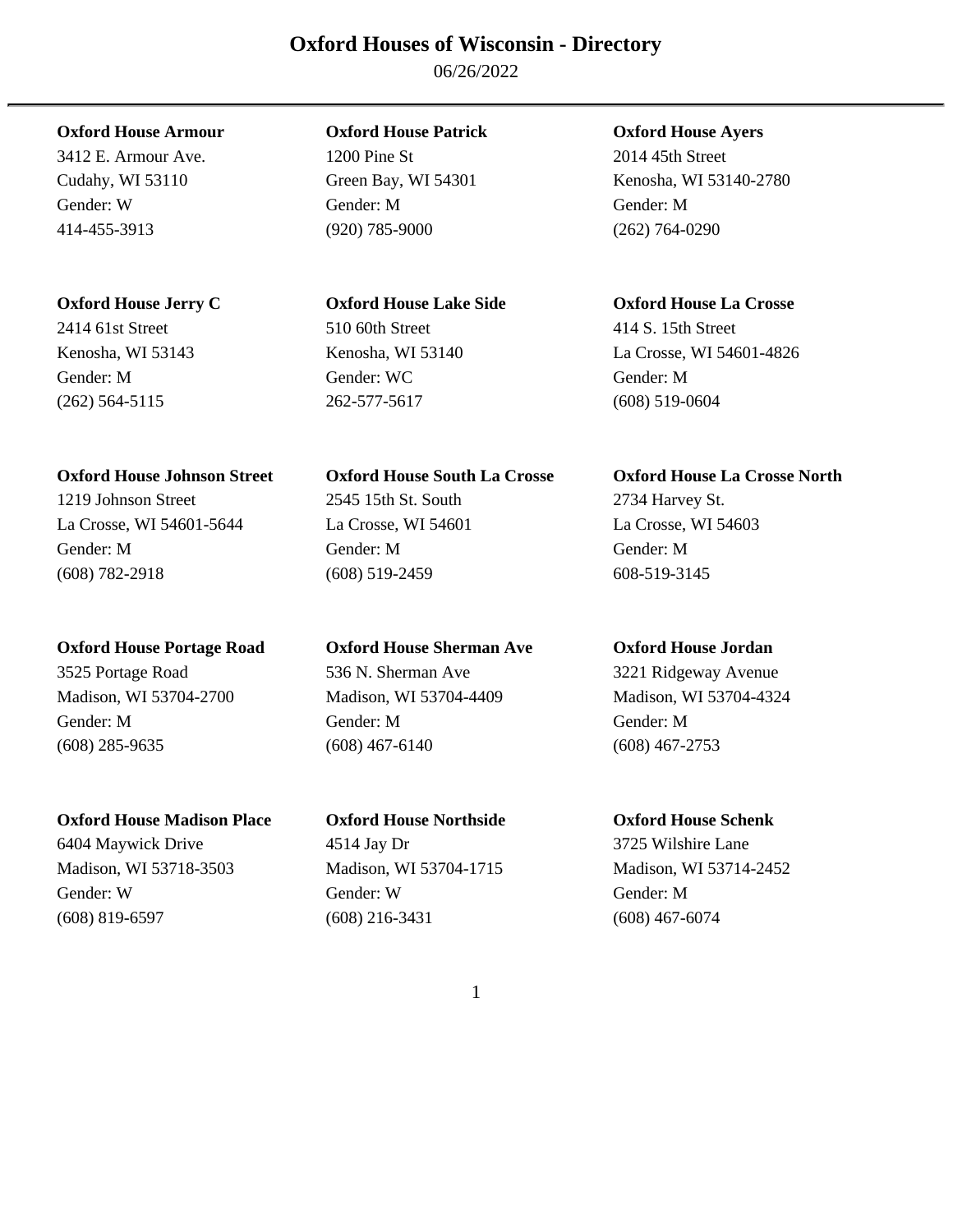### **Oxford Houses of Wisconsin - Directory**

06/26/2022

### **Oxford House Armour Oxford House Patrick Oxford House Ayers**

(262) 564-5115 262-577-5617 (608) 519-0604

## Madison, WI 53704-2700 Madison, WI 53704-4409 Madison, WI 53704-4324 Gender: M Gender: M Gender: M (608) 285-9635 (608) 467-6140 (608) 467-2753

### **Oxford House Madison Place Oxford House Northside Oxford House Schenk**

Madison, WI 53718-3503 Madison, WI 53704-1715 Madison, WI 53714-2452 Gender: W Gender: W Gender: M (608) 819-6597 (608) 216-3431 (608) 467-6074

3412 E. Armour Ave. 1200 Pine St 2014 45th Street Gender: W Gender: M Gender: M 414-455-3913 (920) 785-9000 (262) 764-0290

# 2414 61st Street 510 60th Street 414 S. 15th Street Gender: M Gender: WC Gender: M

1219 Johnson Street 2545 15th St. South 2734 Harvey St. La Crosse, WI 54601-5644 La Crosse, WI 54601 La Crosse, WI 54603 Gender: M Gender: M Gender: M (608) 782-2918 (608) 519-2459 608-519-3145

### **Oxford House Portage Road Oxford House Sherman Ave Oxford House Jordan**  3525 Portage Road 536 N. Sherman Ave 3221 Ridgeway Avenue

Cudahy, WI 53110 Green Bay, WI 54301 Kenosha, WI 53140-2780

### **Oxford House Jerry C Oxford House Lake Side Oxford House La Crosse**

Kenosha, WI 53143 Kenosha, WI 53140 La Crosse, WI 54601-4826

### **Oxford House Johnson Street Oxford House South La Crosse Oxford House La Crosse North**

6404 Maywick Drive 4514 Jay Dr 3725 Wilshire Lane

1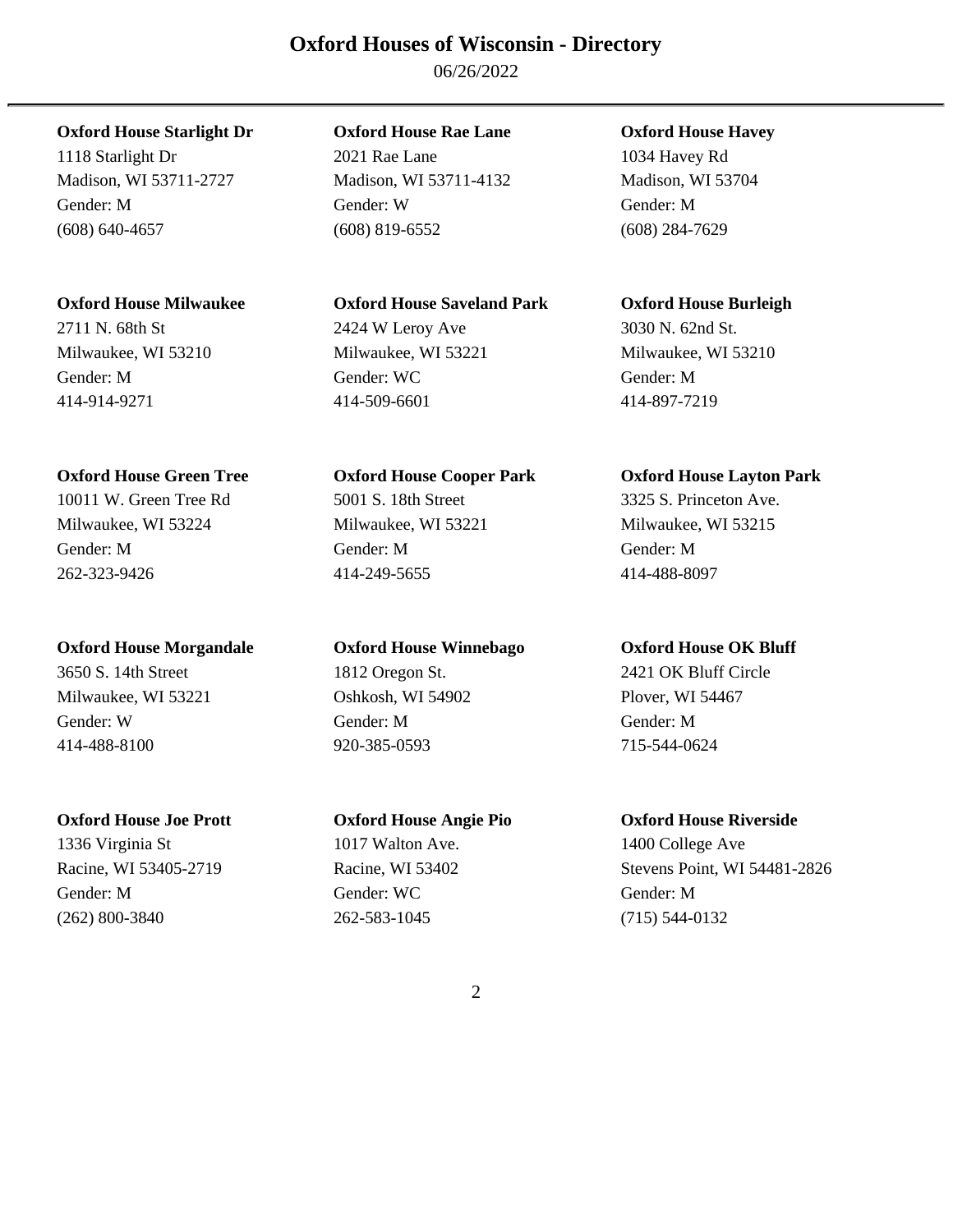### **Oxford Houses of Wisconsin - Directory**

06/26/2022

### **Oxford House Starlight Dr Oxford House Rae Lane Oxford House Havey**

1118 Starlight Dr 2021 Rae Lane 1034 Havey Rd Madison, WI 53711-2727 Madison, WI 53711-4132 Madison, WI 53704 Gender: M Gender: W Gender: M (608) 640-4657 (608) 819-6552 (608) 284-7629

### **Oxford House Milwaukee Oxford House Saveland Park Oxford House Burleigh**

Milwaukee, WI 53210 Milwaukee, WI 53221 Milwaukee, WI 53210 Gender: M Gender: WC Gender: M 414-914-9271 414-509-6601 414-897-7219

### **Oxford House Green Tree Oxford House Cooper Park Oxford House Layton Park**

### **Oxford House Morgandale Oxford House Winnebago Oxford House OK Bluff**

414-488-8100 920-385-0593 715-544-0624

# 2711 N. 68th St 2424 W Leroy Ave 3030 N. 62nd St.

10011 W. Green Tree Rd 5001 S. 18th Street 3325 S. Princeton Ave. Milwaukee, WI 53224 Milwaukee, WI 53221 Milwaukee, WI 53215 Gender: M Gender: M Gender: M 262-323-9426 414-249-5655 414-488-8097

3650 S. 14th Street 1812 Oregon St. 2421 OK Bluff Circle Milwaukee, WI 53221 Oshkosh, WI 54902 Plover, WI 54467 Gender: W Gender: M Gender: M

**Oxford House Joe Prott Oxford House Angie Pio Oxford House Riverside**  1336 Virginia St 1017 Walton Ave. 1400 College Ave Gender: M Gender: WC Gender: M (262) 800-3840 262-583-1045 (715) 544-0132

Racine, WI 53405-2719 Racine, WI 53402 Stevens Point, WI 54481-2826

2